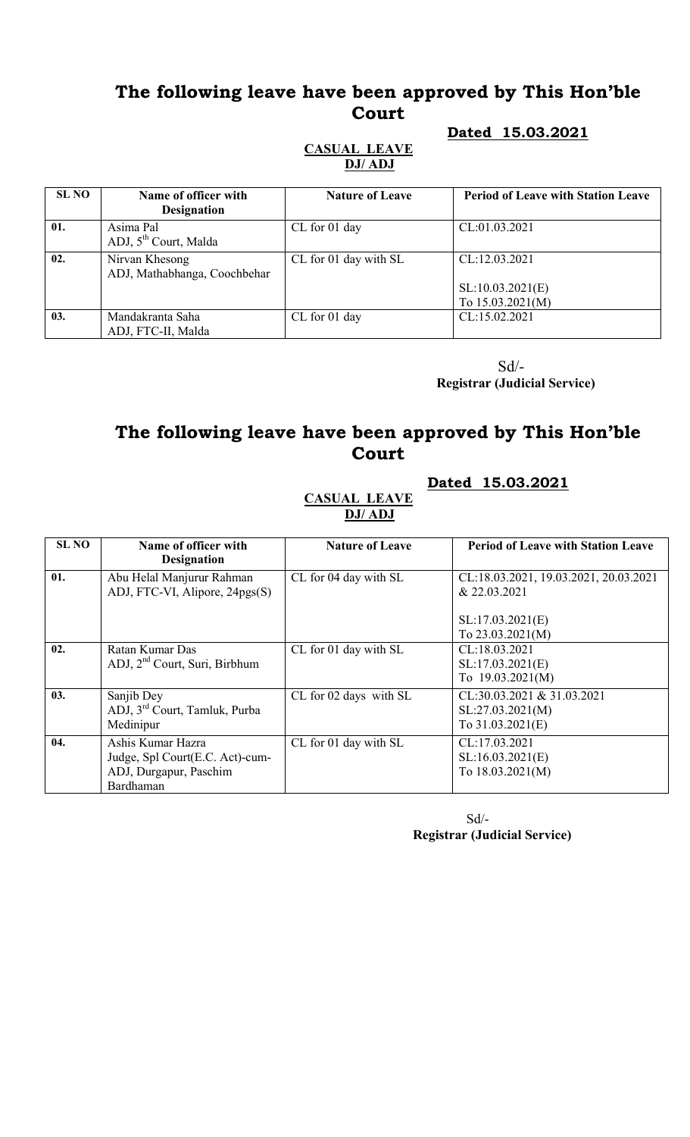# The following leave have been approved by This Hon'ble Court

#### **Dated 15.03.2021**

#### CASUAL LEAVE DJ/ ADJ

| Dated 15.03.2021 |  |
|------------------|--|
|                  |  |

| <b>SL NO</b> | Name of officer with<br><b>Designation</b>     | <b>Nature of Leave</b> | <b>Period of Leave with Station Leave</b>               |
|--------------|------------------------------------------------|------------------------|---------------------------------------------------------|
| 01.          | Asima Pal<br>ADJ, 5 <sup>th</sup> Court, Malda | CL for 01 day          | CL:01.03.2021                                           |
| 02.          | Nirvan Khesong<br>ADJ, Mathabhanga, Coochbehar | CL for 01 day with SL  | CL:12.03.2021<br>SL:10.03.2021(E)<br>To $15.03.2021(M)$ |
| 03.          | Mandakranta Saha<br>ADJ, FTC-II, Malda         | CL for 01 day          | CL:15.02.2021                                           |

 Sd/- Registrar (Judicial Service)

# The following leave have been approved by This Hon'ble Court

#### Dated 15.03.2021

#### CASUAL LEAVE DJ/ ADJ

| <b>SL NO</b> | Name of officer with                      | <b>Nature of Leave</b> | <b>Period of Leave with Station Leave</b> |
|--------------|-------------------------------------------|------------------------|-------------------------------------------|
|              | <b>Designation</b>                        |                        |                                           |
| 01.          | Abu Helal Manjurur Rahman                 | CL for 04 day with SL  | CL:18.03.2021, 19.03.2021, 20.03.2021     |
|              | ADJ, FTC-VI, Alipore, 24pgs(S)            |                        | & 22.03.2021                              |
|              |                                           |                        |                                           |
|              |                                           |                        | SL:17.03.2021(E)                          |
|              |                                           |                        | To $23.03.2021(M)$                        |
| 02.          | Ratan Kumar Das                           | CL for 01 day with SL  | CL:18.03.2021                             |
|              | ADJ, 2 <sup>nd</sup> Court, Suri, Birbhum |                        | SL:17.03.2021(E)                          |
|              |                                           |                        | To 19.03.2021(M)                          |
| 03.          | Sanjib Dey                                | CL for 02 days with SL | CL:30.03.2021 & 31.03.2021                |
|              | ADJ, 3 <sup>rd</sup> Court, Tamluk, Purba |                        | SL:27.03.2021(M)                          |
|              | Medinipur                                 |                        | To $31.03.2021(E)$                        |
| 04.          | Ashis Kumar Hazra                         | CL for 01 day with SL  | CL:17.03.2021                             |
|              | Judge, Spl Court(E.C. Act)-cum-           |                        | SL:16.03.2021(E)                          |
|              | ADJ, Durgapur, Paschim                    |                        | To 18.03.2021(M)                          |
|              | Bardhaman                                 |                        |                                           |

Sd/- Registrar (Judicial Service)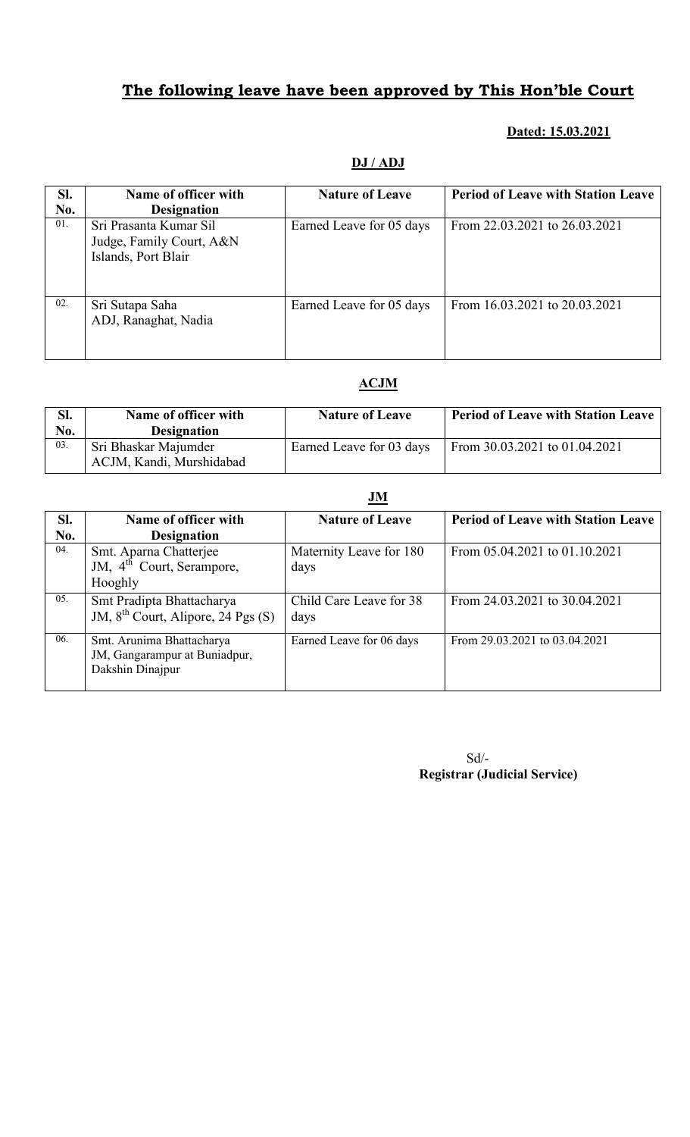# The following leave have been approved by This Hon'ble Court

### Dated: 15.03.2021

### DJ / ADJ

| Sl.<br>No. | Name of officer with<br><b>Designation</b>                                | <b>Nature of Leave</b>   | <b>Period of Leave with Station Leave</b> |
|------------|---------------------------------------------------------------------------|--------------------------|-------------------------------------------|
| 01.        | Sri Prasanta Kumar Sil<br>Judge, Family Court, A&N<br>Islands, Port Blair | Earned Leave for 05 days | From 22.03.2021 to 26.03.2021             |
| 02.        | Sri Sutapa Saha<br>ADJ, Ranaghat, Nadia                                   | Earned Leave for 05 days | From 16.03.2021 to 20.03.2021             |

### ACJM

| Sl.<br>No. | Name of officer with<br><b>Designation</b>       | <b>Nature of Leave</b>   | <b>Period of Leave with Station Leave</b> |
|------------|--------------------------------------------------|--------------------------|-------------------------------------------|
| 03.        | Sri Bhaskar Majumder<br>ACJM, Kandi, Murshidabad | Earned Leave for 03 days | From 30.03.2021 to 01.04.2021             |

| SI.<br>No. | Name of officer with<br><b>Designation</b>                                     | <b>Nature of Leave</b>          | <b>Period of Leave with Station Leave</b> |
|------------|--------------------------------------------------------------------------------|---------------------------------|-------------------------------------------|
| 04.        | Smt. Aparna Chatterjee<br>JM, 4 <sup>th</sup> Court, Serampore,<br>Hooghly     | Maternity Leave for 180<br>days | From 05.04.2021 to 01.10.2021             |
| 05.        | Smt Pradipta Bhattacharya<br>JM, 8 <sup>th</sup> Court, Alipore, 24 Pgs (S)    | Child Care Leave for 38<br>days | From 24.03.2021 to 30.04.2021             |
| 06.        | Smt. Arunima Bhattacharya<br>JM, Gangarampur at Buniadpur,<br>Dakshin Dinajpur | Earned Leave for 06 days        | From 29.03.2021 to 03.04.2021             |

Sd/- Registrar (Judicial Service)

### JM